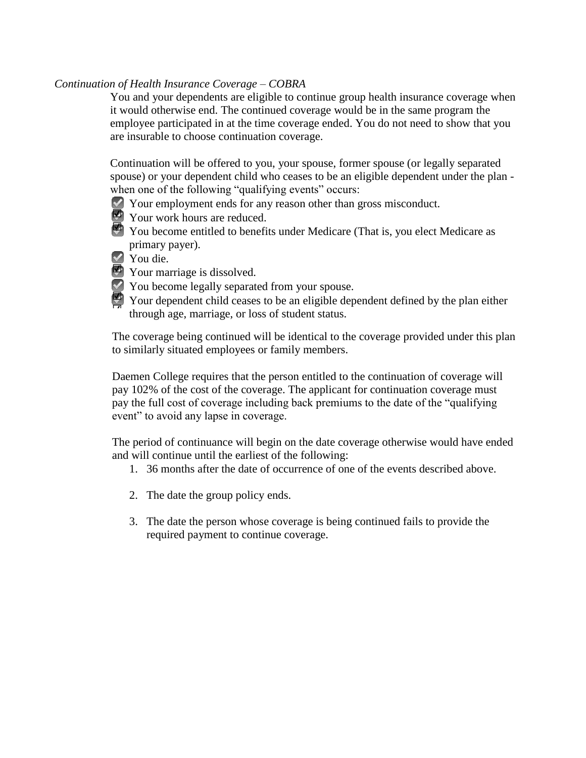## *Continuation of Health Insurance Coverage – COBRA*

You and your dependents are eligible to continue group health insurance coverage when it would otherwise end. The continued coverage would be in the same program the employee participated in at the time coverage ended. You do not need to show that you are insurable to choose continuation coverage.

Continuation will be offered to you, your spouse, former spouse (or legally separated spouse) or your dependent child who ceases to be an eligible dependent under the plan when one of the following "qualifying events" occurs:

- Your employment ends for any reason other than gross misconduct.
- Your work hours are reduced.
- You become entitled to benefits under Medicare (That is, you elect Medicare as ☑ primary payer).
- ◆ You die.
- **☑** Your marriage is dissolved.
- You become legally separated from your spouse.
- Your dependent child ceases to be an eligible dependent defined by the plan either through age, marriage, or loss of student status. ☑

The coverage being continued will be identical to the coverage provided under this plan to similarly situated employees or family members.

Daemen College requires that the person entitled to the continuation of coverage will pay 102% of the cost of the coverage. The applicant for continuation coverage must pay the full cost of coverage including back premiums to the date of the "qualifying event" to avoid any lapse in coverage.

The period of continuance will begin on the date coverage otherwise would have ended and will continue until the earliest of the following:

- 1. 36 months after the date of occurrence of one of the events described above.
- 2. The date the group policy ends.
- 3. The date the person whose coverage is being continued fails to provide the required payment to continue coverage.